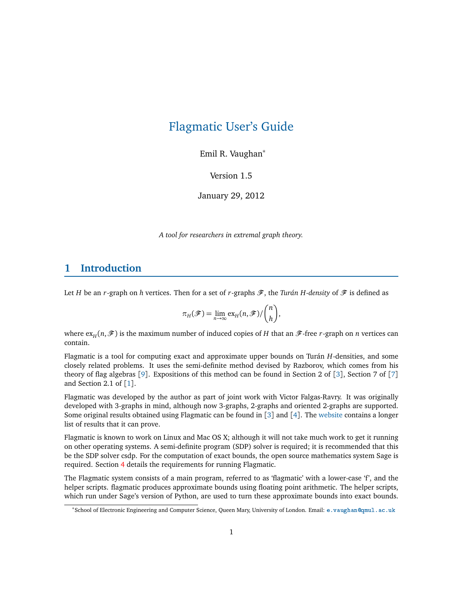# <span id="page-0-0"></span>Flagmatic User's Guide

Emil R. Vaughan<sup>∗</sup>

Version 1.5

January 29, 2012

*A tool for researchers in extremal graph theory.*

## **1 Introduction**

Let *H* be an *r*-graph on *h* vertices. Then for a set of *r*-graphs  $\mathscr{F}$ , the *Turán H-density* of  $\mathscr{F}$  is defined as

$$
\pi_H(\mathscr{F}) = \lim_{n \to \infty} \exp_n(n, \mathscr{F}) / \binom{n}{h},
$$

where  $\exp(H, \mathcal{F})$  is the maximum number of induced copies of *H* that an  $\mathcal{F}$ -free *r*-graph on *n* vertices can contain.

Flagmatic is a tool for computing exact and approximate upper bounds on Turán *H*-densities, and some closely related problems. It uses the semi-definite method devised by Razborov, which comes from his theory of flag algebras [[9](#page-25-0)]. Expositions of this method can be found in Section 2 of [[3](#page-25-1)], Section 7 of [[7](#page-25-2)] and Section 2.1 of [[1](#page-25-3)].

Flagmatic was developed by the author as part of joint work with Victor Falgas-Ravry. It was originally developed with 3-graphs in mind, although now 3-graphs, 2-graphs and oriented 2-graphs are supported. Some original results obtained using Flagmatic can be found in [[3](#page-25-1)] and [[4](#page-25-4)]. The [website](http://www.maths.qmul.ac.uk/~ev/flagmatic/) contains a longer list of results that it can prove.

Flagmatic is known to work on Linux and Mac OS X; although it will not take much work to get it running on other operating systems. A semi-definite program (SDP) solver is required; it is recommended that this be the SDP solver csdp. For the computation of exact bounds, the open source mathematics system Sage is required. Section [4](#page-2-0) details the requirements for running Flagmatic.

The Flagmatic system consists of a main program, referred to as 'flagmatic' with a lower-case 'f', and the helper scripts. flagmatic produces approximate bounds using floating point arithmetic. The helper scripts, which run under Sage's version of Python, are used to turn these approximate bounds into exact bounds.

<sup>∗</sup>School of Electronic Engineering and Computer Science, Queen Mary, University of London. Email: <e.vaughan@qmul.ac.uk>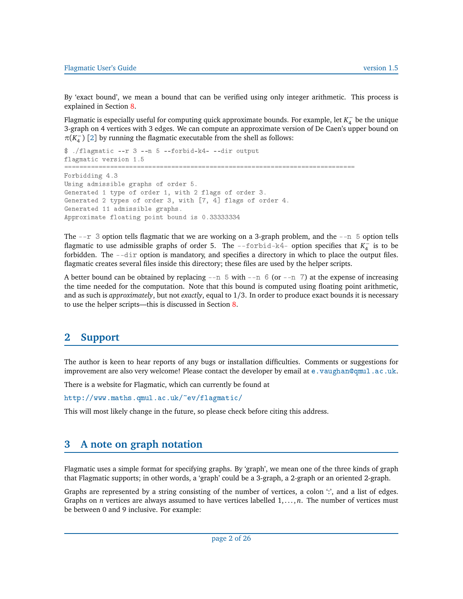<span id="page-1-0"></span>Flagmatic User's Guide version 1.5

By 'exact bound', we mean a bound that can be verified using only integer arithmetic. This process is explained in Section [8.](#page-6-0)

Flagmatic is especially useful for computing quick approximate bounds. For example, let *K* −  $_4^-$  be the unique 3-graph on 4 vertices with 3 edges. We can compute an approximate version of De Caen's upper bound on  $π(K_4^-)$  $\begin{bmatrix} -1 \\ 4 \end{bmatrix}$  [[2](#page-25-5)] by running the flagmatic executable from the shell as follows:

```
$ ./flagmatic --r 3 --n 5 --forbid-k4- --dir output
flagmatic version 1.5
============================================================================
Forbidding 4.3
Using admissible graphs of order 5.
Generated 1 type of order 1, with 2 flags of order 3.
Generated 2 types of order 3, with [7, 4] flags of order 4.
Generated 11 admissible graphs.
Approximate floating point bound is 0.33333334
```
The  $-\text{r}$  3 option tells flagmatic that we are working on a 3-graph problem, and the  $-\text{r}$  5 option tells flagmatic to use admissible graphs of order 5. The --forbid-k4- option specifies that *K*<sup>-</sup>  $\frac{1}{4}$  is to be forbidden. The --dir option is mandatory, and specifies a directory in which to place the output files. flagmatic creates several files inside this directory; these files are used by the helper scripts.

A better bound can be obtained by replacing  $-n \ 5$  with  $-n \ 6$  (or  $-n \ 7$ ) at the expense of increasing the time needed for the computation. Note that this bound is computed using floating point arithmetic, and as such is *approximately*, but not *exactly*, equal to 1*/*3. In order to produce exact bounds it is necessary to use the helper scripts—this is discussed in Section [8.](#page-6-0)

## **2 Support**

The author is keen to hear reports of any bugs or installation difficulties. Comments or suggestions for improvement are also very welcome! Please contact the developer by email at  $e$ . vaughan@qmul.ac.uk.

There is a website for Flagmatic, which can currently be found at

<http://www.maths.qmul.ac.uk/~ev/flagmatic/>

This will most likely change in the future, so please check before citing this address.

## **3 A note on graph notation**

Flagmatic uses a simple format for specifying graphs. By 'graph', we mean one of the three kinds of graph that Flagmatic supports; in other words, a 'graph' could be a 3-graph, a 2-graph or an oriented 2-graph.

Graphs are represented by a string consisting of the number of vertices, a colon ":", and a list of edges. Graphs on *n* vertices are always assumed to have vertices labelled  $1, \ldots, n$ . The number of vertices must be between 0 and 9 inclusive. For example: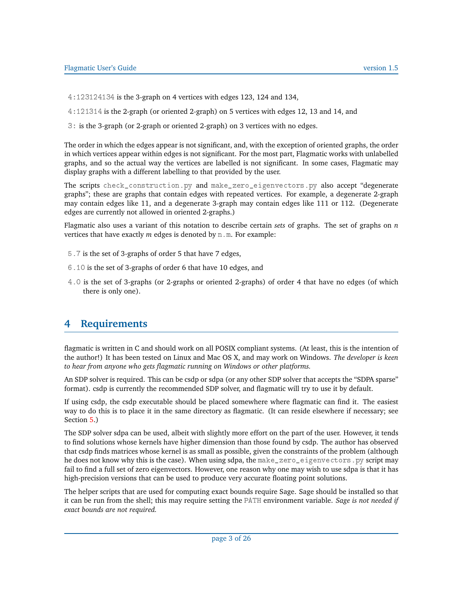- 4:123124134 is the 3-graph on 4 vertices with edges 123, 124 and 134,
- 4:121314 is the 2-graph (or oriented 2-graph) on 5 vertices with edges 12, 13 and 14, and
- 3: is the 3-graph (or 2-graph or oriented 2-graph) on 3 vertices with no edges.

The order in which the edges appear is not significant, and, with the exception of oriented graphs, the order in which vertices appear within edges is not significant. For the most part, Flagmatic works with unlabelled graphs, and so the actual way the vertices are labelled is not significant. In some cases, Flagmatic may display graphs with a different labelling to that provided by the user.

The scripts check\_construction.py and make\_zero\_eigenvectors.py also accept "degenerate graphs"; these are graphs that contain edges with repeated vertices. For example, a degenerate 2-graph may contain edges like 11, and a degenerate 3-graph may contain edges like 111 or 112. (Degenerate edges are currently not allowed in oriented 2-graphs.)

Flagmatic also uses a variant of this notation to describe certain *sets* of graphs. The set of graphs on *n* vertices that have exactly  $m$  edges is denoted by  $n \cdot m$ . For example:

- 5.7 is the set of 3-graphs of order 5 that have 7 edges,
- 6.10 is the set of 3-graphs of order 6 that have 10 edges, and
- 4.0 is the set of 3-graphs (or 2-graphs or oriented 2-graphs) of order 4 that have no edges (of which there is only one).

# <span id="page-2-0"></span>**4 Requirements**

flagmatic is written in C and should work on all POSIX compliant systems. (At least, this is the intention of the author!) It has been tested on Linux and Mac OS X, and may work on Windows. *The developer is keen to hear from anyone who gets flagmatic running on Windows or other platforms.*

An SDP solver is required. This can be csdp or sdpa (or any other SDP solver that accepts the "SDPA sparse" format). csdp is currently the recommended SDP solver, and flagmatic will try to use it by default.

If using csdp, the csdp executable should be placed somewhere where flagmatic can find it. The easiest way to do this is to place it in the same directory as flagmatic. (It can reside elsewhere if necessary; see Section [5.](#page-3-0))

The SDP solver sdpa can be used, albeit with slightly more effort on the part of the user. However, it tends to find solutions whose kernels have higher dimension than those found by csdp. The author has observed that csdp finds matrices whose kernel is as small as possible, given the constraints of the problem (although he does not know why this is the case). When using sdpa, the make\_zero\_eigenvectors.py script may fail to find a full set of zero eigenvectors. However, one reason why one may wish to use sdpa is that it has high-precision versions that can be used to produce very accurate floating point solutions.

The helper scripts that are used for computing exact bounds require Sage. Sage should be installed so that it can be run from the shell; this may require setting the PATH environment variable. *Sage is not needed if exact bounds are not required.*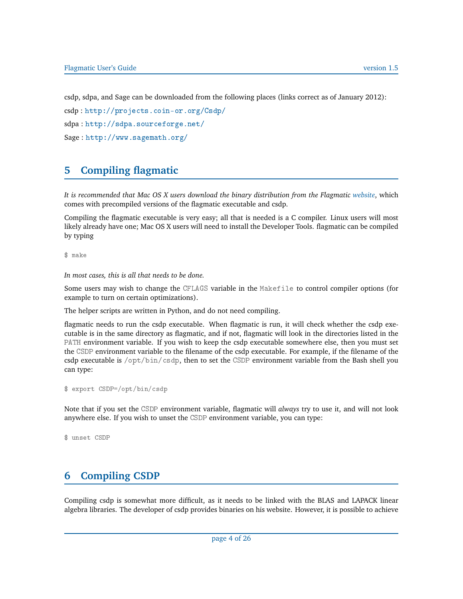csdp, sdpa, and Sage can be downloaded from the following places (links correct as of January 2012):

csdp : <http://projects.coin-or.org/Csdp/>

sdpa : <http://sdpa.sourceforge.net/>

```
Sage : http://www.sagemath.org/
```
# <span id="page-3-0"></span>**5 Compiling flagmatic**

*It is recommended that Mac OS X users download the binary distribution from the Flagmatic [website](http://www.maths.qmul.ac.uk/~ev/flagmatic/)*, which comes with precompiled versions of the flagmatic executable and csdp.

Compiling the flagmatic executable is very easy; all that is needed is a C compiler. Linux users will most likely already have one; Mac OS X users will need to install the Developer Tools. flagmatic can be compiled by typing

\$ make

*In most cases, this is all that needs to be done.*

Some users may wish to change the CFLAGS variable in the Makefile to control compiler options (for example to turn on certain optimizations).

The helper scripts are written in Python, and do not need compiling.

flagmatic needs to run the csdp executable. When flagmatic is run, it will check whether the csdp executable is in the same directory as flagmatic, and if not, flagmatic will look in the directories listed in the PATH environment variable. If you wish to keep the csdp executable somewhere else, then you must set the CSDP environment variable to the filename of the csdp executable. For example, if the filename of the csdp executable is /opt/bin/csdp, then to set the CSDP environment variable from the Bash shell you can type:

```
$ export CSDP=/opt/bin/csdp
```
Note that if you set the CSDP environment variable, flagmatic will *always* try to use it, and will not look anywhere else. If you wish to unset the CSDP environment variable, you can type:

```
$ unset CSDP
```
# **6 Compiling CSDP**

Compiling csdp is somewhat more difficult, as it needs to be linked with the BLAS and LAPACK linear algebra libraries. The developer of csdp provides binaries on his website. However, it is possible to achieve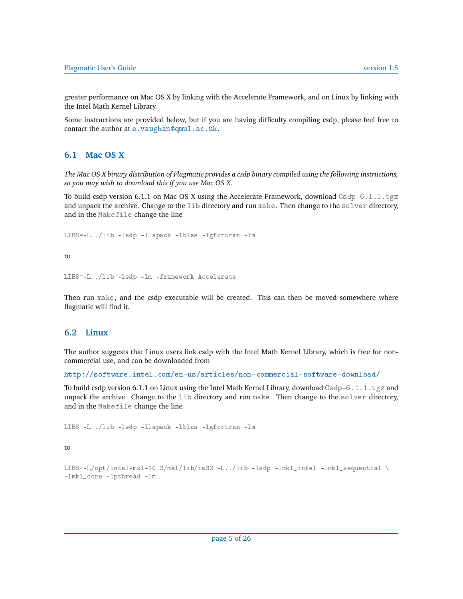greater performance on Mac OS X by linking with the Accelerate Framework, and on Linux by linking with the Intel Math Kernel Library.

Some instructions are provided below, but if you are having difficulty compiling csdp, please feel free to contact the author at <e.vaughan@qmul.ac.uk>.

#### **6.1 Mac OS X**

*The Mac OS X binary distribution of Flagmatic provides a csdp binary compiled using the following instructions, so you may wish to download this if you use Mac OS X.*

To build csdp version 6.1.1 on Mac OS X using the Accelerate Framework, download  $\text{Csdp}-6.1.1.\text{tgz}$ and unpack the archive. Change to the lib directory and run make. Then change to the solver directory, and in the Makefile change the line

LIBS=-L../lib -lsdp -llapack -lblas -lgfortran -lm

to

LIBS=-L../lib -lsdp -lm -framework Accelerate

Then run make, and the csdp executable will be created. This can then be moved somewhere where flagmatic will find it.

#### **6.2 Linux**

The author suggests that Linux users link csdp with the Intel Math Kernel Library, which is free for noncommercial use, and can be downloaded from

<http://software.intel.com/en-us/articles/non-commercial-software-download/>

To build csdp version 6.1.1 on Linux using the Intel Math Kernel Library, download Csdp-6.1.1.tgz and unpack the archive. Change to the lib directory and run make. Then change to the solver directory, and in the Makefile change the line

LIBS=-L../lib -lsdp -llapack -lblas -lgfortran -lm

to

LIBS=-L/opt/intel-mkl-10.3/mkl/lib/ia32 -L../lib -1sdp -1mkl\_intel -1mkl\_sequential  $\setminus$ -lmkl\_core -lpthread -lm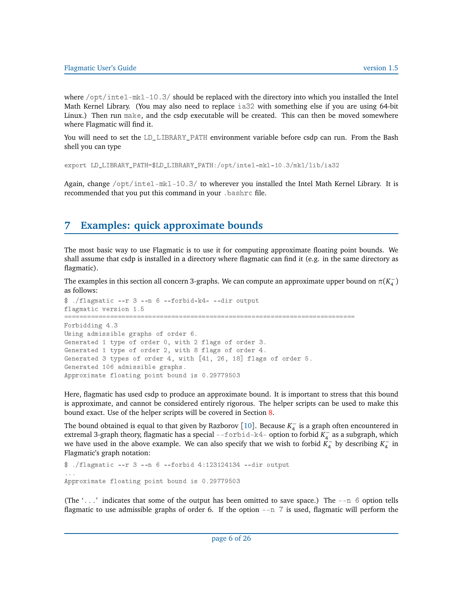<span id="page-5-0"></span>where  $\sqrt{\pi}$  intel-mkl-10.3/ should be replaced with the directory into which you installed the Intel Math Kernel Library. (You may also need to replace ia32 with something else if you are using 64-bit Linux.) Then run make, and the csdp executable will be created. This can then be moved somewhere where Flagmatic will find it.

You will need to set the LD\_LIBRARY\_PATH environment variable before csdp can run. From the Bash shell you can type

```
export LD_LIBRARY_PATH=$LD_LIBRARY_PATH:/opt/intel-mkl-10.3/mkl/lib/ia32
```
Again, change /opt/intel-mkl-10.3/ to wherever you installed the Intel Math Kernel Library. It is recommended that you put this command in your .bashrc file.

# **7 Examples: quick approximate bounds**

The most basic way to use Flagmatic is to use it for computing approximate floating point bounds. We shall assume that csdp is installed in a directory where flagmatic can find it (e.g. in the same directory as flagmatic).

The examples in this section all concern 3-graphs. We can compute an approximate upper bound on  $\pi$ ( $K_4^ _{4}^{-}$  ) as follows:

```
$ ./flagmatic --r 3 --n 6 --forbid-k4- --dir output
flagmatic version 1.5
============================================================================
Forbidding 4.3
Using admissible graphs of order 6.
Generated 1 type of order 0, with 2 flags of order 3.
Generated 1 type of order 2, with 8 flags of order 4.
Generated 3 types of order 4, with [41, 26, 18] flags of order 5.
Generated 106 admissible graphs.
Approximate floating point bound is 0.29779503
```
Here, flagmatic has used csdp to produce an approximate bound. It is important to stress that this bound is approximate, and cannot be considered entirely rigorous. The helper scripts can be used to make this bound exact. Use of the helper scripts will be covered in Section [8.](#page-6-0)

The bound obtained is equal to that given by Razborov [[10](#page-25-6)]. Because  $K_4^ _4^-$  is a graph often encountered in extremal 3-graph theory, flagmatic has a special --forbid-k4- option to forbid *K* −  $_4^-$  as a subgraph, which we have used in the above example. We can also specify that we wish to forbid *K* −  $\frac{1}{4}$  by describing  $K_4^ \frac{1}{4}$  in Flagmatic's graph notation:

```
$ ./flagmatic --r 3 --n 6 --forbid 4:123124134 --dir output
...
Approximate floating point bound is 0.29779503
```
(The  $\langle \ldots \rangle$  indicates that some of the output has been omitted to save space.) The  $\ldots$  6 option tells flagmatic to use admissible graphs of order 6. If the option --n 7 is used, flagmatic will perform the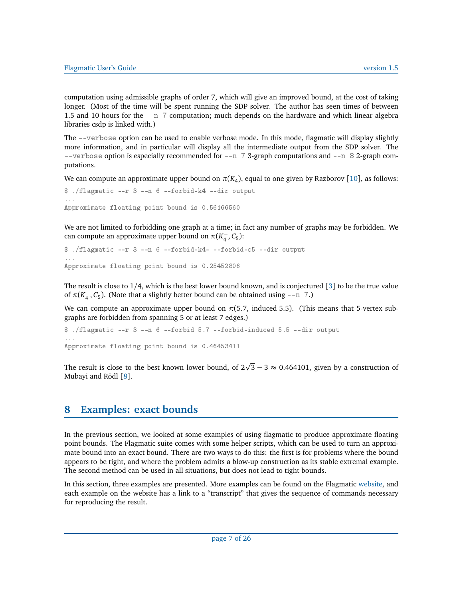<span id="page-6-1"></span>computation using admissible graphs of order 7, which will give an improved bound, at the cost of taking longer. (Most of the time will be spent running the SDP solver. The author has seen times of between 1.5 and 10 hours for the --n 7 computation; much depends on the hardware and which linear algebra libraries csdp is linked with.)

The --verbose option can be used to enable verbose mode. In this mode, flagmatic will display slightly more information, and in particular will display all the intermediate output from the SDP solver. The --verbose option is especially recommended for  $-$ n 73-graph computations and  $-$ n 82-graph computations.

We can compute an approximate upper bound on  $\pi(K_4)$ , equal to one given by Razborov [[10](#page-25-6)], as follows:

```
$ ./flagmatic --r 3 --n 6 --forbid-k4 --dir output
...
Approximate floating point bound is 0.56166560
```
We are not limited to forbidding one graph at a time; in fact any number of graphs may be forbidden. We can compute an approximate upper bound on  $\pi(K_4^-)$  $\frac{1}{4}$ , C<sub>5</sub>):

```
$ ./flagmatic --r 3 --n 6 --forbid-k4- --forbid-c5 --dir output
...
Approximate floating point bound is 0.25452806
```
The result is close to 1*/*4, which is the best lower bound known, and is conjectured [[3](#page-25-1)] to be the true value of  $\pi$ ( $K_4^ \overline{a}$ ,  $C_5$ ). (Note that a slightly better bound can be obtained using --n 7.)

We can compute an approximate upper bound on  $\pi$ (5.7, induced 5.5). (This means that 5-vertex subgraphs are forbidden from spanning 5 or at least 7 edges.)

```
$ ./flagmatic --r 3 --n 6 --forbid 5.7 --forbid-induced 5.5 --dir output
...
Approximate floating point bound is 0.46453411
```
The result is close to the best known lower bound, of  $2\sqrt{3}-3\approx 0.464101,$  given by a construction of Mubayi and Rödl [[8](#page-25-7)].

## <span id="page-6-0"></span>**8 Examples: exact bounds**

In the previous section, we looked at some examples of using flagmatic to produce approximate floating point bounds. The Flagmatic suite comes with some helper scripts, which can be used to turn an approximate bound into an exact bound. There are two ways to do this: the first is for problems where the bound appears to be tight, and where the problem admits a blow-up construction as its stable extremal example. The second method can be used in all situations, but does not lead to tight bounds.

In this section, three examples are presented. More examples can be found on the Flagmatic [website,](http://www.maths.qmul.ac.uk/~ev/flagmatic/) and each example on the website has a link to a "transcript" that gives the sequence of commands necessary for reproducing the result.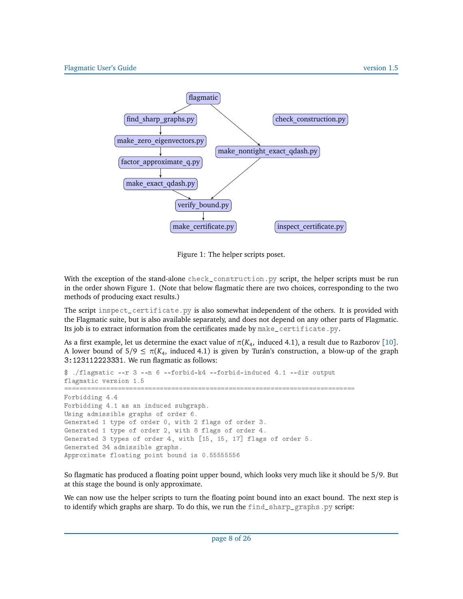<span id="page-7-0"></span>

Figure 1: The helper scripts poset.

With the exception of the stand-alone check\_construction.py script, the helper scripts must be run in the order shown Figure 1. (Note that below flagmatic there are two choices, corresponding to the two methods of producing exact results.)

The script inspect\_certificate.py is also somewhat independent of the others. It is provided with the Flagmatic suite, but is also available separately, and does not depend on any other parts of Flagmatic. Its job is to extract information from the certificates made by make\_certificate.py.

As a first example, let us determine the exact value of  $\pi(K_4, \text{ induced } 4.1)$ , a result due to Razborov [[10](#page-25-6)]. A lower bound of  $5/9 \leq \pi(K_4)$ , induced 4.1) is given by Turán's construction, a blow-up of the graph 3:123112223331. We run flagmatic as follows:

```
$ ./flagmatic --r 3 --n 6 --forbid-k4 --forbid-induced 4.1 --dir output
flagmatic version 1.5
============================================================================
Forbidding 4.4
Forbidding 4.1 as an induced subgraph.
Using admissible graphs of order 6.
Generated 1 type of order 0, with 2 flags of order 3.
Generated 1 type of order 2, with 8 flags of order 4.
Generated 3 types of order 4, with [15, 15, 17] flags of order 5.
Generated 34 admissible graphs.
Approximate floating point bound is 0.55555556
```
So flagmatic has produced a floating point upper bound, which looks very much like it should be 5*/*9. But at this stage the bound is only approximate.

We can now use the helper scripts to turn the floating point bound into an exact bound. The next step is to identify which graphs are sharp. To do this, we run the find\_sharp\_graphs.py script: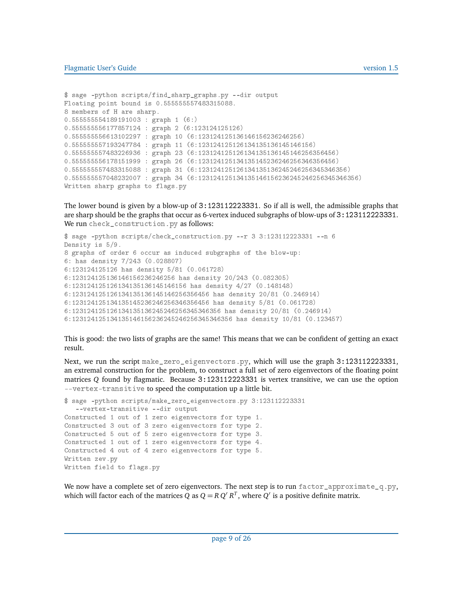```
$ sage -python scripts/find_sharp_graphs.py --dir output
Floating point bound is 0.555555557483315088.
8 members of H are sharp.
0.555555554189191003 : graph 1 (6:)
0.555555556177857124 : graph 2 (6:123124125126)
0.555555556613102297 : graph 10 (6:123124125136146156236246256)
0.555555557193247784 : graph 11 (6:123124125126134135136145146156)
0.555555557483226936 : graph 23 (6:123124125126134135136145146256356456)
0.555555556178151999 : graph 26 (6:123124125134135145236246256346356456)
0.555555557483315088 : graph 31 (6:123124125126134135136245246256345346356)
0.555555557048232007 : graph 34 (6:123124125134135146156236245246256345346356)
Written sharp graphs to flags.py
```
The lower bound is given by a blow-up of 3:123112223331. So if all is well, the admissible graphs that are sharp should be the graphs that occur as 6-vertex induced subgraphs of blow-ups of 3:123112223331. We run check\_construction.py as follows:

```
$ sage -python scripts/check_construction.py --r 3 3:123112223331 --n 6
Density is 5/9.
8 graphs of order 6 occur as induced subgraphs of the blow-up:
6: has density 7/243 (0.028807)
6:123124125126 has density 5/81 (0.061728)
6:123124125136146156236246256 has density 20/243 (0.082305)
6:123124125126134135136145146156 has density 4/27 (0.148148)
6:123124125126134135136145146256356456 has density 20/81 (0.246914)
6:123124125134135145236246256346356456 has density 5/81 (0.061728)
6:123124125126134135136245246256345346356 has density 20/81 (0.246914)
6:123124125134135146156236245246256345346356 has density 10/81 (0.123457)
```
This is good: the two lists of graphs are the same! This means that we can be confident of getting an exact result.

Next, we run the script make\_zero\_eigenvectors.py, which will use the graph 3:123112223331, an extremal construction for the problem, to construct a full set of zero eigenvectors of the floating point matrices *Q* found by flagmatic. Because 3:123112223331 is vertex transitive, we can use the option --vertex-transitive to speed the computation up a little bit.

```
$ sage -python scripts/make_zero_eigenvectors.py 3:123112223331
   --vertex-transitive --dir output
Constructed 1 out of 1 zero eigenvectors for type 1.
Constructed 3 out of 3 zero eigenvectors for type 2.
Constructed 5 out of 5 zero eigenvectors for type 3.
Constructed 1 out of 1 zero eigenvectors for type 4.
Constructed 4 out of 4 zero eigenvectors for type 5.
Written zev.py
Written field to flags.py
```
We now have a complete set of zero eigenvectors. The next step is to run  $factor_{appproximate_q, p}$ , which will factor each of the matrices  $\tilde{Q}$  as  $Q = R Q' R^T$ , where  $\tilde{Q}'$  is a positive definite matrix.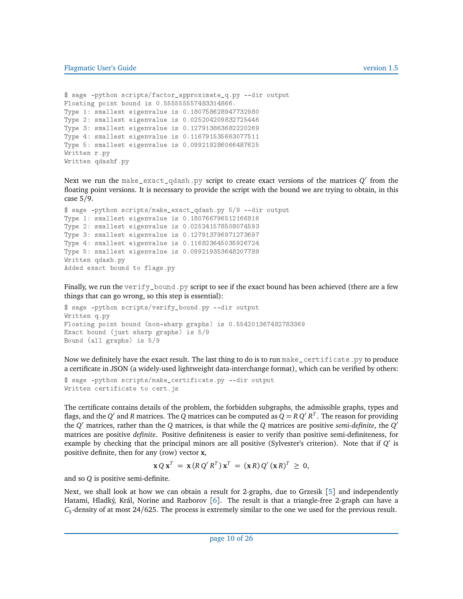```
$ sage -python scripts/factor_approximate_q.py --dir output
Floating point bound is 0.555555557483314866.
Type 1: smallest eigenvalue is 0.180758628947732980
Type 2: smallest eigenvalue is 0.025204209832725446
Type 3: smallest eigenvalue is 0.127913863682220269
Type 4: smallest eigenvalue is 0.116791535663077511
Type 5: smallest eigenvalue is 0.099219286066487625
Written r.py
Written qdashf.py
```
Next we run the  $\texttt{make\_exact\_qdash}$  , py script to create exact versions of the matrices  $Q'$  from the floating point versions. It is necessary to provide the script with the bound we are trying to obtain, in this case 5*/*9.

```
$ sage -python scripts/make_exact_qdash.py 5/9 --dir output
Type 1: smallest eigenvalue is 0.180766796512166816
Type 2: smallest eigenvalue is 0.025241578508074593
Type 3: smallest eigenvalue is 0.127913796971273697
Type 4: smallest eigenvalue is 0.116823645035926724
Type 5: smallest eigenvalue is 0.099219353648207789
Written qdash.py
Added exact bound to flags.py
```
Finally, we run the verify\_bound.py script to see if the exact bound has been achieved (there are a few things that can go wrong, so this step is essential):

```
$ sage -python scripts/verify_bound.py --dir output
Written q.py
Floating point bound (non-sharp graphs) is 0.554201367482783369
Exact bound (just sharp graphs) is 5/9
Bound (all graphs) is 5/9
```
Now we definitely have the exact result. The last thing to do is to run make\_certificate.py to produce a certificate in JSON (a widely-used lightweight data-interchange format), which can be verified by others:

```
$ sage -python scripts/make_certificate.py --dir output
Written certificate to cert.js
```
The certificate contains details of the problem, the forbidden subgraphs, the admissible graphs, types and flags, and the *Q'* and *R* matrices. The *Q* matrices can be computed as  $Q = R Q'R^T$ . The reason for providing the  $Q'$  matrices, rather than the  $Q$  matrices, is that while the  $Q$  matrices are positive *semi-definite*, the  $Q'$ matrices are positive *definite*. Positive definiteness is easier to verify than positive semi-definiteness, for example by checking that the principal minors are all positive (Sylvester's criterion). Note that if Q' is positive definite, then for any (row) vector **x**,

$$
\mathbf{x} Q \mathbf{x}^T = \mathbf{x} (R Q' R^T) \mathbf{x}^T = (\mathbf{x} R) Q' (\mathbf{x} R)^T \geq 0,
$$

and so *Q* is positive semi-definite.

Next, we shall look at how we can obtain a result for 2-graphs, due to Grzesik [[5](#page-25-8)] and independently Hatami, Hladký, Král, Norine and Razborov [[6](#page-25-9)]. The result is that a triangle-free 2-graph can have a *C*5 -density of at most 24*/*625. The process is extremely similar to the one we used for the previous result.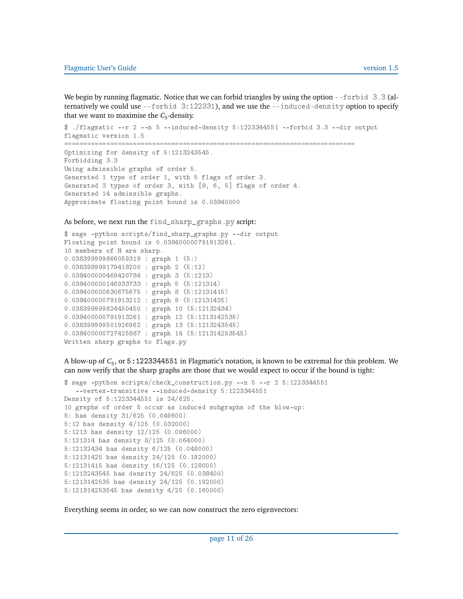We begin by running flagmatic. Notice that we can forbid triangles by using the option  $\text{-front} 3.3$  (alternatively we could use --forbid 3:122331), and we use the --induced-density option to specify that we want to maximise the  $C_5$ -density.

```
$ ./flagmatic --r 2 --n 5 --induced-density 5:1223344551 --forbid 3.3 --dir output
flagmatic version 1.5
    ============================================================================
Optimizing for density of 5:1213243545.
Forbidding 3.3
Using admissible graphs of order 5.
Generated 1 type of order 1, with 5 flags of order 3.
Generated 3 types of order 3, with [8, 6, 5] flags of order 4.
Generated 14 admissible graphs.
Approximate floating point bound is 0.03840000
```
As before, we next run the find\_sharp\_graphs.py script:

```
$ sage -python scripts/find_sharp_graphs.py --dir output
Floating point bound is 0.038400000791913261.
10 members of H are sharp.
0.038399999866059319 : graph 1 (5:)
0.038399999179418200 : graph 2 (5:12)
0.038400000469420784 : graph 3 (5:1213)
0.038400000146933733 : graph 5 (5:121314)
0.038400000630675675 : graph 8 (5:12131415)
0.038400000791913212 : graph 9 (5:12131425)
0.038399999824450450 : graph 10 (5:12132434)
0.038400000791913261 : graph 12 (5:1213142535)
0.038399999501926962 : graph 13 (5:1213243545)
0.038400000727425887 : graph 14 (5:121314253545)
Written sharp graphs to flags.py
```
A blow-up of *C*<sup>5</sup> , or 5:1223344551 in Flagmatic's notation, is known to be extremal for this problem. We can now verify that the sharp graphs are those that we would expect to occur if the bound is tight:

```
$ sage -python scripts/check_construction.py --n 5 --r 2 5:1223344551
   --vertex-transitive --induced-density 5:1223344551
Density of 5:1223344551 is 24/625.
10 graphs of order 5 occur as induced subgraphs of the blow-up:
5: has density 31/625 (0.049600)
5:12 has density 4/125 (0.032000)
5:1213 has density 12/125 (0.096000)
5:121314 has density 8/125 (0.064000)
5:12132434 has density 6/125 (0.048000)
5:12131425 has density 24/125 (0.192000)
5:12131415 has density 16/125 (0.128000)
5:1213243545 has density 24/625 (0.038400)
5:1213142535 has density 24/125 (0.192000)
5:121314253545 has density 4/25 (0.160000)
```
Everything seems in order, so we can now construct the zero eigenvectors: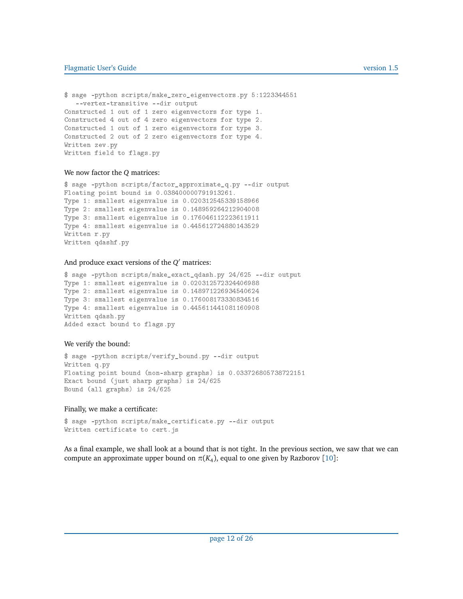#### <span id="page-11-0"></span>Flagmatic User's Guide version 1.5

```
$ sage -python scripts/make_zero_eigenvectors.py 5:1223344551
   --vertex-transitive --dir output
Constructed 1 out of 1 zero eigenvectors for type 1.
Constructed 4 out of 4 zero eigenvectors for type 2.
Constructed 1 out of 1 zero eigenvectors for type 3.
Constructed 2 out of 2 zero eigenvectors for type 4.
Written zev.py
Written field to flags.py
```
#### We now factor the *Q* matrices:

```
$ sage -python scripts/factor_approximate_q.py --dir output
Floating point bound is 0.038400000791913261.
Type 1: smallest eigenvalue is 0.020312545339158966
Type 2: smallest eigenvalue is 0.148959264212904008
Type 3: smallest eigenvalue is 0.176046112223611911
Type 4: smallest eigenvalue is 0.445612724880143529
Written r.py
Written qdashf.py
```
### And produce exact versions of the  $Q'$  matrices:

\$ sage -python scripts/make\_exact\_qdash.py 24/625 --dir output Type 1: smallest eigenvalue is 0.020312572324406988 Type 2: smallest eigenvalue is 0.148971226934540624 Type 3: smallest eigenvalue is 0.176008173330834516 Type 4: smallest eigenvalue is 0.445611441081160908 Written qdash.py Added exact bound to flags.py

#### We verify the bound:

```
$ sage -python scripts/verify_bound.py --dir output
Written q.py
Floating point bound (non-sharp graphs) is 0.033726805738722151
Exact bound (just sharp graphs) is 24/625
Bound (all graphs) is 24/625
```
Finally, we make a certificate:

\$ sage -python scripts/make\_certificate.py --dir output Written certificate to cert.js

As a final example, we shall look at a bound that is not tight. In the previous section, we saw that we can compute an approximate upper bound on  $\pi(K_4)$ , equal to one given by Razborov [[10](#page-25-6)]: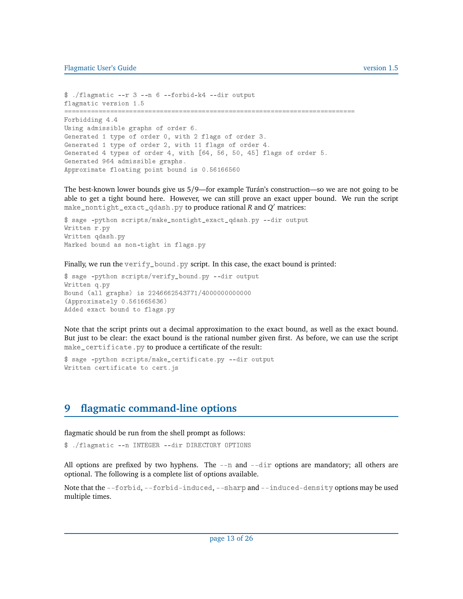```
$ ./flagmatic --r 3 --n 6 --forbid-k4 --dir output
flagmatic version 1.5
============================================================================
Forbidding 4.4
Using admissible graphs of order 6.
Generated 1 type of order 0, with 2 flags of order 3.
Generated 1 type of order 2, with 11 flags of order 4.
Generated 4 types of order 4, with [64, 56, 50, 45] flags of order 5.
Generated 964 admissible graphs.
Approximate floating point bound is 0.56166560
```
The best-known lower bounds give us 5*/*9—for example Turán's construction—so we are not going to be able to get a tight bound here. However, we can still prove an exact upper bound. We run the script make\_nontight\_exact\_qdash.py to produce rational *R* and *Q* <sup>0</sup> matrices:

```
$ sage -python scripts/make_nontight_exact_qdash.py --dir output
Written r.py
Written qdash.py
Marked bound as non-tight in flags.py
```
Finally, we run the verify\_bound.py script. In this case, the exact bound is printed:

```
$ sage -python scripts/verify_bound.py --dir output
Written q.py
Bound (all graphs) is 2246662543771/4000000000000
(Approximately 0.561665636)
Added exact bound to flags.py
```
Note that the script prints out a decimal approximation to the exact bound, as well as the exact bound. But just to be clear: the exact bound is the rational number given first. As before, we can use the script make\_certificate.py to produce a certificate of the result:

```
$ sage -python scripts/make_certificate.py --dir output
Written certificate to cert.js
```
## **9 flagmatic command-line options**

flagmatic should be run from the shell prompt as follows:

\$ ./flagmatic --n INTEGER --dir DIRECTORY OPTIONS

All options are prefixed by two hyphens. The  $-$ -n and  $-$ -dir options are mandatory; all others are optional. The following is a complete list of options available.

Note that the --forbid, --forbid-induced, --sharp and --induced-density options may be used multiple times.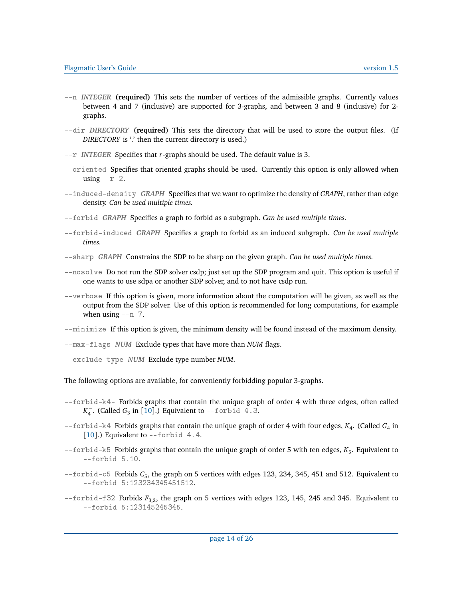- <span id="page-13-0"></span>--n *INTEGER* **(required)** This sets the number of vertices of the admissible graphs. Currently values between 4 and 7 (inclusive) are supported for 3-graphs, and between 3 and 8 (inclusive) for 2 graphs.
- --dir *DIRECTORY* **(required)** This sets the directory that will be used to store the output files. (If *DIRECTORY* is '.' then the current directory is used.)
- --r *INTEGER* Specifies that *r*-graphs should be used. The default value is 3.
- --oriented Specifies that oriented graphs should be used. Currently this option is only allowed when using  $- r 2$ .
- --induced-density *GRAPH* Specifies that we want to optimize the density of *GRAPH*, rather than edge density. *Can be used multiple times.*
- --forbid *GRAPH* Specifies a graph to forbid as a subgraph. *Can be used multiple times.*
- --forbid-induced *GRAPH* Specifies a graph to forbid as an induced subgraph. *Can be used multiple times.*
- --sharp *GRAPH* Constrains the SDP to be sharp on the given graph. *Can be used multiple times.*
- --nosolve Do not run the SDP solver csdp; just set up the SDP program and quit. This option is useful if one wants to use sdpa or another SDP solver, and to not have csdp run.
- --verbose If this option is given, more information about the computation will be given, as well as the output from the SDP solver. Use of this option is recommended for long computations, for example when using  $-$ n  $7$ .

--minimize If this option is given, the minimum density will be found instead of the maximum density.

- --max-flags *NUM* Exclude types that have more than *NUM* flags.
- --exclude-type *NUM* Exclude type number *NUM*.

The following options are available, for conveniently forbidding popular 3-graphs.

- --forbid-k4- Forbids graphs that contain the unique graph of order 4 with three edges, often called *K* −  $\overline{4}$ . (Called  $G_3$  in [[10](#page-25-6)].) Equivalent to --forbid 4.3.
- --forbid-k4 Forbids graphs that contain the unique graph of order 4 with four edges,  $K_4$ . (Called  $G_4$  in  $[10]$  $[10]$  $[10]$ .) Equivalent to  $-$ forbid 4.4.
- --forbid-k5 Forbids graphs that contain the unique graph of order 5 with ten edges, K<sub>5</sub>. Equivalent to --forbid 5.10.
- --forbid-c5 Forbids C<sub>5</sub>, the graph on 5 vertices with edges 123, 234, 345, 451 and 512. Equivalent to --forbid 5:123234345451512.
- --forbid-f32 Forbids *F*3,2, the graph on 5 vertices with edges 123, 145, 245 and 345. Equivalent to --forbid 5:123145245345.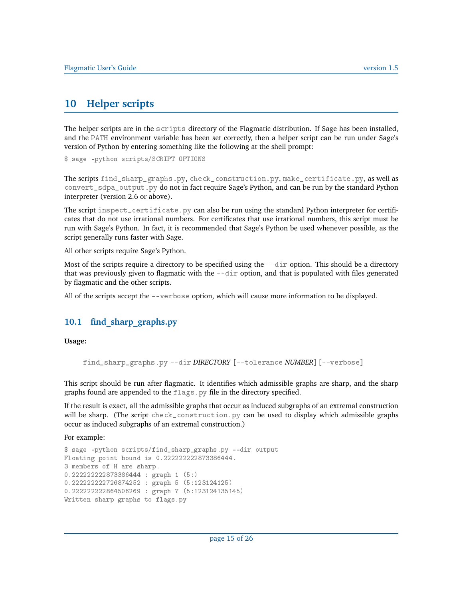# **10 Helper scripts**

The helper scripts are in the scripts directory of the Flagmatic distribution. If Sage has been installed, and the PATH environment variable has been set correctly, then a helper script can be run under Sage's version of Python by entering something like the following at the shell prompt:

\$ sage -python scripts/SCRIPT OPTIONS

The scripts find\_sharp\_graphs.py, check\_construction.py, make\_certificate.py, as well as convert\_sdpa\_output.py do not in fact require Sage's Python, and can be run by the standard Python interpreter (version 2.6 or above).

The script inspect\_certificate.py can also be run using the standard Python interpreter for certificates that do not use irrational numbers. For certificates that use irrational numbers, this script must be run with Sage's Python. In fact, it is recommended that Sage's Python be used whenever possible, as the script generally runs faster with Sage.

All other scripts require Sage's Python.

Most of the scripts require a directory to be specified using the  $-\text{dir}$  option. This should be a directory that was previously given to flagmatic with the  $-\text{dir}$  option, and that is populated with files generated by flagmatic and the other scripts.

All of the scripts accept the --verbose option, which will cause more information to be displayed.

### **10.1 find\_sharp\_graphs.py**

**Usage:**

find\_sharp\_graphs.py --dir *DIRECTORY* [--tolerance *NUMBER*] [--verbose]

This script should be run after flagmatic. It identifies which admissible graphs are sharp, and the sharp graphs found are appended to the flags.py file in the directory specified.

If the result is exact, all the admissible graphs that occur as induced subgraphs of an extremal construction will be sharp. (The script check\_construction.py can be used to display which admissible graphs occur as induced subgraphs of an extremal construction.)

For example:

```
$ sage -python scripts/find_sharp_graphs.py --dir output
Floating point bound is 0.222222222873386444.
3 members of H are sharp.
0.222222222873386444 : graph 1 (5:)
0.222222222726874252 : graph 5 (5:123124125)
0.222222222864506269 : graph 7 (5:123124135145)
Written sharp graphs to flags.py
```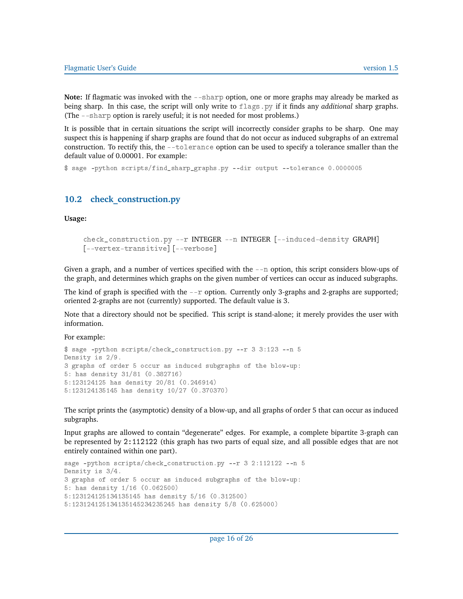**Note:** If flagmatic was invoked with the --sharp option, one or more graphs may already be marked as being sharp. In this case, the script will only write to flags.py if it finds any *additional* sharp graphs. (The --sharp option is rarely useful; it is not needed for most problems.)

It is possible that in certain situations the script will incorrectly consider graphs to be sharp. One may suspect this is happening if sharp graphs are found that do not occur as induced subgraphs of an extremal construction. To rectify this, the --tolerance option can be used to specify a tolerance smaller than the default value of 0.00001. For example:

\$ sage -python scripts/find\_sharp\_graphs.py --dir output --tolerance 0.0000005

### **10.2 check\_construction.py**

**Usage:**

```
check_construction.py --r INTEGER --n INTEGER [--induced-density GRAPH]
[--vertex-transitive] [--verbose]
```
Given a graph, and a number of vertices specified with the --n option, this script considers blow-ups of the graph, and determines which graphs on the given number of vertices can occur as induced subgraphs.

The kind of graph is specified with the  $-*r*$  option. Currently only 3-graphs and 2-graphs are supported; oriented 2-graphs are not (currently) supported. The default value is 3.

Note that a directory should not be specified. This script is stand-alone; it merely provides the user with information.

For example:

```
$ sage -python scripts/check_construction.py --r 3 3:123 --n 5
Density is 2/9.
3 graphs of order 5 occur as induced subgraphs of the blow-up:
5: has density 31/81 (0.382716)
5:123124125 has density 20/81 (0.246914)
5:123124135145 has density 10/27 (0.370370)
```
The script prints the (asymptotic) density of a blow-up, and all graphs of order 5 that can occur as induced subgraphs.

Input graphs are allowed to contain "degenerate" edges. For example, a complete bipartite 3-graph can be represented by 2:112122 (this graph has two parts of equal size, and all possible edges that are not entirely contained within one part).

```
sage -python scripts/check_construction.py --r 3 2:112122 --n 5
Density is 3/4.
3 graphs of order 5 occur as induced subgraphs of the blow-up:
5: has density 1/16 (0.062500)
5:123124125134135145 has density 5/16 (0.312500)
5:123124125134135145234235245 has density 5/8 (0.625000)
```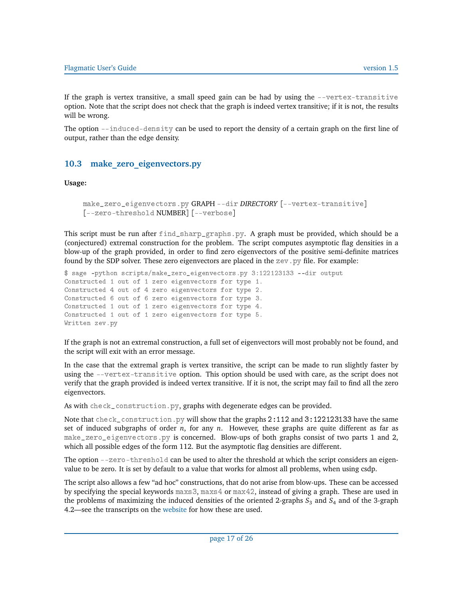If the graph is vertex transitive, a small speed gain can be had by using the  $-$ -vertex-transitive option. Note that the script does not check that the graph is indeed vertex transitive; if it is not, the results will be wrong.

The option --induced-density can be used to report the density of a certain graph on the first line of output, rather than the edge density.

## **10.3 make\_zero\_eigenvectors.py**

**Usage:**

```
make_zero_eigenvectors.py GRAPH --dir DIRECTORY [--vertex-transitive]
[--zero-threshold NUMBER] [--verbose]
```
This script must be run after find\_sharp\_graphs.py. A graph must be provided, which should be a (conjectured) extremal construction for the problem. The script computes asymptotic flag densities in a blow-up of the graph provided, in order to find zero eigenvectors of the positive semi-definite matrices found by the SDP solver. These zero eigenvectors are placed in the  $zev$ . py file. For example:

```
$ sage -python scripts/make_zero_eigenvectors.py 3:122123133 --dir output
Constructed 1 out of 1 zero eigenvectors for type 1.
Constructed 4 out of 4 zero eigenvectors for type 2.
Constructed 6 out of 6 zero eigenvectors for type 3.
Constructed 1 out of 1 zero eigenvectors for type 4.
Constructed 1 out of 1 zero eigenvectors for type 5.
Written zev.py
```
If the graph is not an extremal construction, a full set of eigenvectors will most probably not be found, and the script will exit with an error message.

In the case that the extremal graph is vertex transitive, the script can be made to run slightly faster by using the --vertex-transitive option. This option should be used with care, as the script does not verify that the graph provided is indeed vertex transitive. If it is not, the script may fail to find all the zero eigenvectors.

As with check\_construction.py, graphs with degenerate edges can be provided.

Note that check\_construction.py will show that the graphs 2:112 and 3:122123133 have the same set of induced subgraphs of order *n*, for any *n*. However, these graphs are quite different as far as make\_zero\_eigenvectors.py is concerned. Blow-ups of both graphs consist of two parts 1 and 2, which all possible edges of the form 112. But the asymptotic flag densities are different.

The option --zero-threshold can be used to alter the threshold at which the script considers an eigenvalue to be zero. It is set by default to a value that works for almost all problems, when using csdp.

The script also allows a few "ad hoc" constructions, that do not arise from blow-ups. These can be accessed by specifying the special keywords maxs3, maxs4 or max42, instead of giving a graph. These are used in the problems of maximizing the induced densities of the oriented 2-graphs  $S_3$  and  $S_4$  and of the 3-graph 4.2—see the transcripts on the [website](http://www.maths.qmul.ac.uk/~ev/flagmatic/) for how these are used.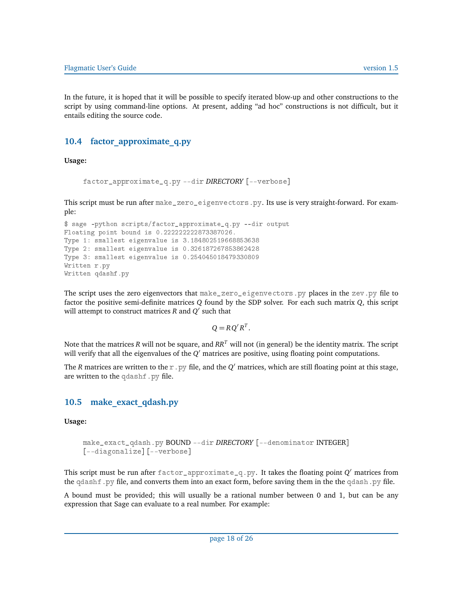In the future, it is hoped that it will be possible to specify iterated blow-up and other constructions to the script by using command-line options. At present, adding "ad hoc" constructions is not difficult, but it entails editing the source code.

### **10.4 factor\_approximate\_q.py**

**Usage:**

```
factor_approximate_q.py --dir DIRECTORY [--verbose]
```
This script must be run after make\_zero\_eigenvectors.py. Its use is very straight-forward. For example:

```
$ sage -python scripts/factor_approximate_q.py --dir output
Floating point bound is 0.222222222873387026.
Type 1: smallest eigenvalue is 3.184802519668853638
Type 2: smallest eigenvalue is 0.326187267853862428
Type 3: smallest eigenvalue is 0.254045018479330809
Written r.py
Written qdashf.py
```
The script uses the zero eigenvectors that make\_zero\_eigenvectors.py places in the zev.py file to factor the positive semi-definite matrices *Q* found by the SDP solver. For each such matrix *Q*, this script will attempt to construct matrices  $R$  and  $Q'$  such that

 $Q = R Q' R^T$ .

Note that the matrices *R* will not be square, and *RR<sup>T</sup>* will not (in general) be the identity matrix. The script will verify that all the eigenvalues of the  $Q'$  matrices are positive, using floating point computations.

The *R* matrices are written to the  $r$  .  $py$  file, and the  $Q'$  matrices, which are still floating point at this stage, are written to the qdashf.py file.

### **10.5 make\_exact\_qdash.py**

**Usage:**

```
make_exact_qdash.py BOUND --dir DIRECTORY [--denominator INTEGER]
[--diagonalize] [--verbose]
```
This script must be run after <code>factor\_approximate\_q.py</code>. It takes the floating point  $Q'$  matrices from the qdashf.py file, and converts them into an exact form, before saving them in the the qdash.py file.

A bound must be provided; this will usually be a rational number between 0 and 1, but can be any expression that Sage can evaluate to a real number. For example: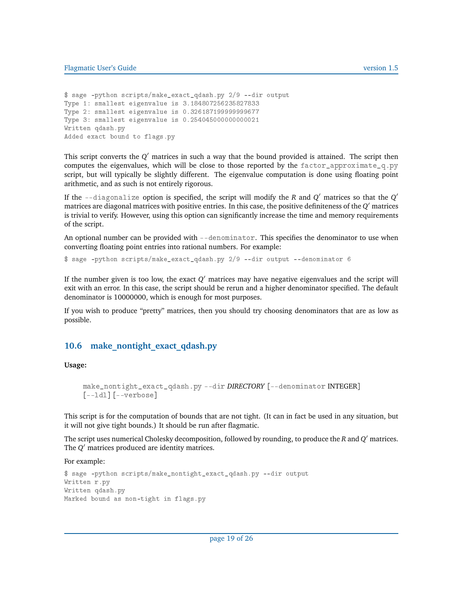```
$ sage -python scripts/make_exact_qdash.py 2/9 --dir output
Type 1: smallest eigenvalue is 3.184807256235827833
Type 2: smallest eigenvalue is 0.326187199999999677
Type 3: smallest eigenvalue is 0.254045000000000021
Written qdash.py
Added exact bound to flags.py
```
This script converts the  $Q'$  matrices in such a way that the bound provided is attained. The script then computes the eigenvalues, which will be close to those reported by the  $factor_{approximate_q,py}$ script, but will typically be slightly different. The eigenvalue computation is done using floating point arithmetic, and as such is not entirely rigorous.

If the --diagonalize <mark>option is specified, the script will modify the  $R$  and  $Q'$  matrices so that the  $Q'$ </mark> matrices are diagonal matrices with positive entries. In this case, the positive definiteness of the *Q* <sup>0</sup> matrices is trivial to verify. However, using this option can significantly increase the time and memory requirements of the script.

An optional number can be provided with --denominator. This specifies the denominator to use when converting floating point entries into rational numbers. For example:

\$ sage -python scripts/make\_exact\_qdash.py 2/9 --dir output --denominator 6

If the number given is too low, the exact *Q'* matrices may have negative eigenvalues and the script will exit with an error. In this case, the script should be rerun and a higher denominator specified. The default denominator is 10000000, which is enough for most purposes.

If you wish to produce "pretty" matrices, then you should try choosing denominators that are as low as possible.

#### 10.6 make nontight exact qdash.py

**Usage:**

```
make_nontight_exact_qdash.py --dir DIRECTORY [--denominator INTEGER]
[--ldl] [--verbose]
```
This script is for the computation of bounds that are not tight. (It can in fact be used in any situation, but it will not give tight bounds.) It should be run after flagmatic.

The script uses numerical Cholesky decomposition, followed by rounding, to produce the *R* and *Q* <sup>0</sup> matrices. The *Q'* matrices produced are identity matrices.

For example:

```
$ sage -python scripts/make_nontight_exact_qdash.py --dir output
Written r.py
Written qdash.py
Marked bound as non-tight in flags.py
```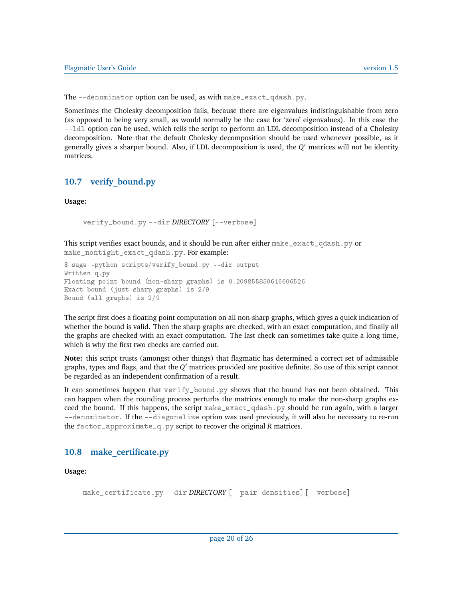The --denominator option can be used, as with make\_exact\_qdash.py.

Sometimes the Cholesky decomposition fails, because there are eigenvalues indistinguishable from zero (as opposed to being very small, as would normally be the case for 'zero' eigenvalues). In this case the --ldl option can be used, which tells the script to perform an LDL decomposition instead of a Cholesky decomposition. Note that the default Cholesky decomposition should be used whenever possible, as it generally gives a sharper bound. Also, if LDL decomposition is used, the *Q* <sup>0</sup> matrices will not be identity matrices.

### **10.7 verify\_bound.py**

**Usage:**

```
verify_bound.py --dir DIRECTORY [--verbose]
```
This script verifies exact bounds, and it should be run after either make\_exact\_qdash.py or make\_nontight\_exact\_qdash.py. For example:

```
$ sage -python scripts/verify_bound.py --dir output
Written q.py
Floating point bound (non-sharp graphs) is 0.209855850616606526
Exact bound (just sharp graphs) is 2/9
Bound (all graphs) is 2/9
```
The script first does a floating point computation on all non-sharp graphs, which gives a quick indication of whether the bound is valid. Then the sharp graphs are checked, with an exact computation, and finally all the graphs are checked with an exact computation. The last check can sometimes take quite a long time, which is why the first two checks are carried out.

**Note:** this script trusts (amongst other things) that flagmatic has determined a correct set of admissible graphs, types and flags, and that the *Q* <sup>0</sup> matrices provided are positive definite. So use of this script cannot be regarded as an independent confirmation of a result.

It can sometimes happen that verify\_bound.py shows that the bound has not been obtained. This can happen when the rounding process perturbs the matrices enough to make the non-sharp graphs exceed the bound. If this happens, the script make\_exact\_qdash.py should be run again, with a larger --denominator. If the --diagonalize option was used previously, it will also be necessary to re-run the factor\_approximate\_q.py script to recover the original *R* matrices.

### **10.8 make\_certificate.py**

**Usage:**

```
make_certificate.py --dir DIRECTORY [--pair-densities] [--verbose]
```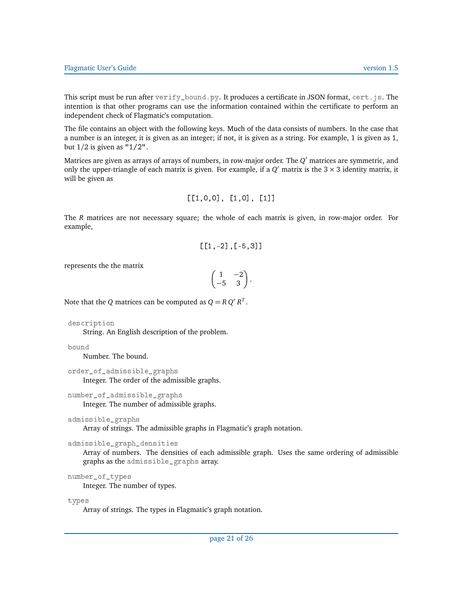This script must be run after  $\text{verify\_bound.py}$ . It produces a certificate in JSON format, cert. js. The intention is that other programs can use the information contained within the certificate to perform an independent check of Flagmatic's computation.

The file contains an object with the following keys. Much of the data consists of numbers. In the case that a number is an integer, it is given as an integer; if not, it is given as a string. For example, 1 is given as 1, but 1*/*2 is given as "1/2".

Matrices are given as arrays of arrays of numbers, in row-major order. The  $Q^\prime$  matrices are symmetric, and only the upper-triangle of each matrix is given. For example, if a  $Q'$  matrix is the  $3 \times 3$  identity matrix, it will be given as

$$
[[1,0,0], [1,0], [1]]
$$

The *R* matrices are not necessary square; the whole of each matrix is given, in row-major order. For example,

$$
[[1,-2],[-5,3]]
$$

represents the the matrix

$$
\begin{pmatrix} 1 & -2 \\ -5 & 3 \end{pmatrix}.
$$

Note that the *Q* matrices can be computed as  $Q = R Q' R^T$ .

```
description
```
String. An English description of the problem.

```
bound
```
Number. The bound.

```
order_of_admissible_graphs
```
Integer. The order of the admissible graphs.

```
number_of_admissible_graphs
```
Integer. The number of admissible graphs.

```
admissible_graphs
```
Array of strings. The admissible graphs in Flagmatic's graph notation.

```
admissible_graph_densities
```
Array of numbers. The densities of each admissible graph. Uses the same ordering of admissible graphs as the admissible\_graphs array.

```
number_of_types
```
Integer. The number of types.

types

Array of strings. The types in Flagmatic's graph notation.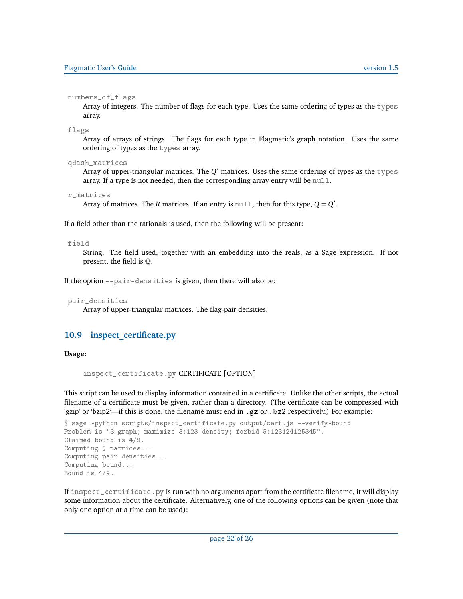numbers\_of\_flags

Array of integers. The number of flags for each type. Uses the same ordering of types as the types array.

flags

Array of arrays of strings. The flags for each type in Flagmatic's graph notation. Uses the same ordering of types as the types array.

qdash\_matrices

Array of upper-triangular matrices. The Q $^\prime$  matrices. Uses the same ordering of types as the  $\bar{\rm t}$  ypes array. If a type is not needed, then the corresponding array entry will be null.

```
r_matrices
```
Array of matrices. The *R* matrices. If an entry is  $\text{null}$ , then for this type,  $Q = Q'$ .

If a field other than the rationals is used, then the following will be present:

#### field

String. The field used, together with an embedding into the reals, as a Sage expression. If not present, the field is Q.

If the option --pair-densities is given, then there will also be:

```
pair_densities
```
Array of upper-triangular matrices. The flag-pair densities.

### **10.9 inspect\_certificate.py**

#### **Usage:**

```
inspect_certificate.py CERTIFICATE [OPTION]
```
This script can be used to display information contained in a certificate. Unlike the other scripts, the actual filename of a certificate must be given, rather than a directory. (The certificate can be compressed with 'gzip' or 'bzip2'—if this is done, the filename must end in .gz or .bz2 respectively.) For example:

```
$ sage -python scripts/inspect_certificate.py output/cert.js --verify-bound
Problem is "3-graph; maximize 3:123 density; forbid 5:123124125345".
Claimed bound is 4/9.
Computing Q matrices...
Computing pair densities...
Computing bound...
Bound is 4/9.
```
If inspect\_certificate.py is run with no arguments apart from the certificate filename, it will display some information about the certificate. Alternatively, one of the following options can be given (note that only one option at a time can be used):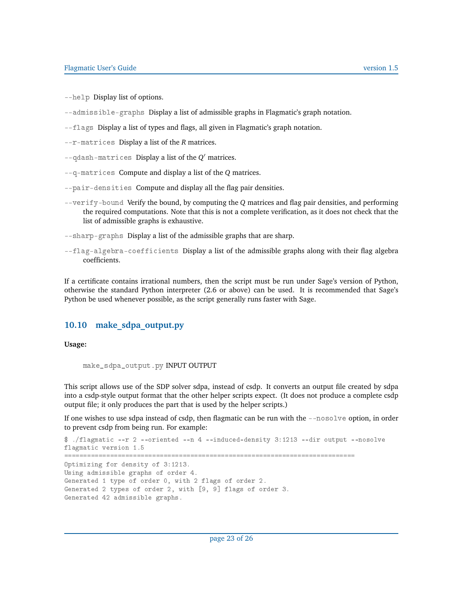- --help Display list of options.
- --admissible-graphs Display a list of admissible graphs in Flagmatic's graph notation.
- --flags Display a list of types and flags, all given in Flagmatic's graph notation.
- --r-matrices Display a list of the *R* matrices.
- --qdash-matrices Display a list of the  $Q'$  matrices.
- --q-matrices Compute and display a list of the *Q* matrices.
- --pair-densities Compute and display all the flag pair densities.
- --verify-bound Verify the bound, by computing the *Q* matrices and flag pair densities, and performing the required computations. Note that this is not a complete verification, as it does not check that the list of admissible graphs is exhaustive.
- --sharp-graphs Display a list of the admissible graphs that are sharp.
- --flag-algebra-coefficients Display a list of the admissible graphs along with their flag algebra coefficients.

If a certificate contains irrational numbers, then the script must be run under Sage's version of Python, otherwise the standard Python interpreter (2.6 or above) can be used. It is recommended that Sage's Python be used whenever possible, as the script generally runs faster with Sage.

#### **10.10 make\_sdpa\_output.py**

**Usage:**

```
make_sdpa_output.py INPUT OUTPUT
```
This script allows use of the SDP solver sdpa, instead of csdp. It converts an output file created by sdpa into a csdp-style output format that the other helper scripts expect. (It does not produce a complete csdp output file; it only produces the part that is used by the helper scripts.)

If one wishes to use sdpa instead of csdp, then flagmatic can be run with the --nosolve option, in order to prevent csdp from being run. For example:

```
$ ./flagmatic --r 2 --oriented --n 4 --induced-density 3:1213 --dir output --nosolve
flagmatic version 1.5
                           ============================================================================
Optimizing for density of 3:1213.
Using admissible graphs of order 4.
Generated 1 type of order 0, with 2 flags of order 2.
Generated 2 types of order 2, with [9, 9] flags of order 3.
Generated 42 admissible graphs.
```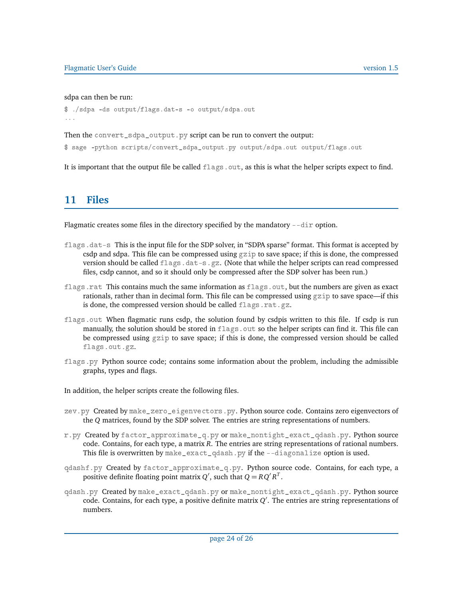#### sdpa can then be run:

```
$ ./sdpa -ds output/flags.dat-s -o output/sdpa.out
...
```
Then the convert\_sdpa\_output.py script can be run to convert the output:

\$ sage -python scripts/convert\_sdpa\_output.py output/sdpa.out output/flags.out

It is important that the output file be called  $f_{\text{lags}}$  out, as this is what the helper scripts expect to find.

## **11 Files**

Flagmatic creates some files in the directory specified by the mandatory --dir option.

- flags.dat-s This is the input file for the SDP solver, in "SDPA sparse" format. This format is accepted by csdp and sdpa. This file can be compressed using  $gzip$  to save space; if this is done, the compressed version should be called flags.dat-s.gz. (Note that while the helper scripts can read compressed files, csdp cannot, and so it should only be compressed after the SDP solver has been run.)
- flags.rat This contains much the same information as flags.out, but the numbers are given as exact rationals, rather than in decimal form. This file can be compressed using  $gzip$  to save space—if this is done, the compressed version should be called  $f_{\text{lags}}$ .rat.gz.
- flags.out When flagmatic runs csdp, the solution found by csdpis written to this file. If csdp is run manually, the solution should be stored in  $f_{\text{lags}}$ . out so the helper scripts can find it. This file can be compressed using gzip to save space; if this is done, the compressed version should be called flags.out.gz.
- flags.py Python source code; contains some information about the problem, including the admissible graphs, types and flags.

In addition, the helper scripts create the following files.

- zev.py Created by make\_zero\_eigenvectors.py. Python source code. Contains zero eigenvectors of the *Q* matrices, found by the SDP solver. The entries are string representations of numbers.
- r.py Created by factor\_approximate\_q.py or make\_nontight\_exact\_qdash.py. Python source code. Contains, for each type, a matrix *R*. The entries are string representations of rational numbers. This file is overwritten by make\_exact\_qdash.py if the --diagonalize option is used.
- qdashf.py Created by factor\_approximate\_q.py. Python source code. Contains, for each type, a positive definite floating point matrix *Q'*, such that  $Q = RQ'R^T$ .
- qdash.py Created by make\_exact\_qdash.py or make\_nontight\_exact\_qdash.py. Python source code. Contains, for each type, a positive definite matrix *Q* 0 . The entries are string representations of numbers.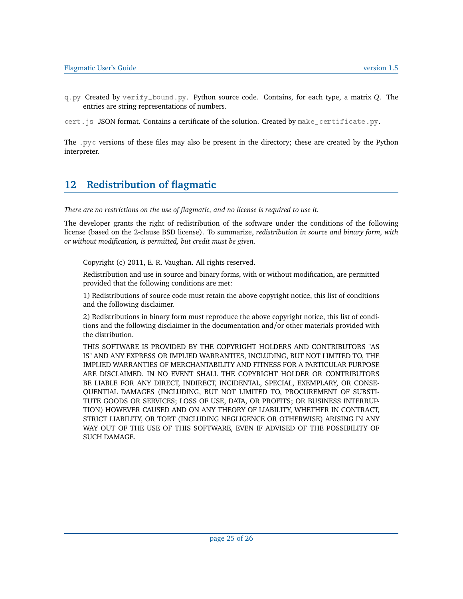q.py Created by verify\_bound.py. Python source code. Contains, for each type, a matrix *Q*. The entries are string representations of numbers.

cert.js JSON format. Contains a certificate of the solution. Created by make\_certificate.py.

The .pyc versions of these files may also be present in the directory; these are created by the Python interpreter.

# **12 Redistribution of flagmatic**

*There are no restrictions on the use of flagmatic, and no license is required to use it.*

The developer grants the right of redistribution of the software under the conditions of the following license (based on the 2-clause BSD license). To summarize, *redistribution in source and binary form, with or without modification, is permitted, but credit must be given*.

Copyright (c) 2011, E. R. Vaughan. All rights reserved.

Redistribution and use in source and binary forms, with or without modification, are permitted provided that the following conditions are met:

1) Redistributions of source code must retain the above copyright notice, this list of conditions and the following disclaimer.

2) Redistributions in binary form must reproduce the above copyright notice, this list of conditions and the following disclaimer in the documentation and/or other materials provided with the distribution.

THIS SOFTWARE IS PROVIDED BY THE COPYRIGHT HOLDERS AND CONTRIBUTORS "AS IS" AND ANY EXPRESS OR IMPLIED WARRANTIES, INCLUDING, BUT NOT LIMITED TO, THE IMPLIED WARRANTIES OF MERCHANTABILITY AND FITNESS FOR A PARTICULAR PURPOSE ARE DISCLAIMED. IN NO EVENT SHALL THE COPYRIGHT HOLDER OR CONTRIBUTORS BE LIABLE FOR ANY DIRECT, INDIRECT, INCIDENTAL, SPECIAL, EXEMPLARY, OR CONSE-QUENTIAL DAMAGES (INCLUDING, BUT NOT LIMITED TO, PROCUREMENT OF SUBSTI-TUTE GOODS OR SERVICES; LOSS OF USE, DATA, OR PROFITS; OR BUSINESS INTERRUP-TION) HOWEVER CAUSED AND ON ANY THEORY OF LIABILITY, WHETHER IN CONTRACT, STRICT LIABILITY, OR TORT (INCLUDING NEGLIGENCE OR OTHERWISE) ARISING IN ANY WAY OUT OF THE USE OF THIS SOFTWARE, EVEN IF ADVISED OF THE POSSIBILITY OF SUCH DAMAGE.